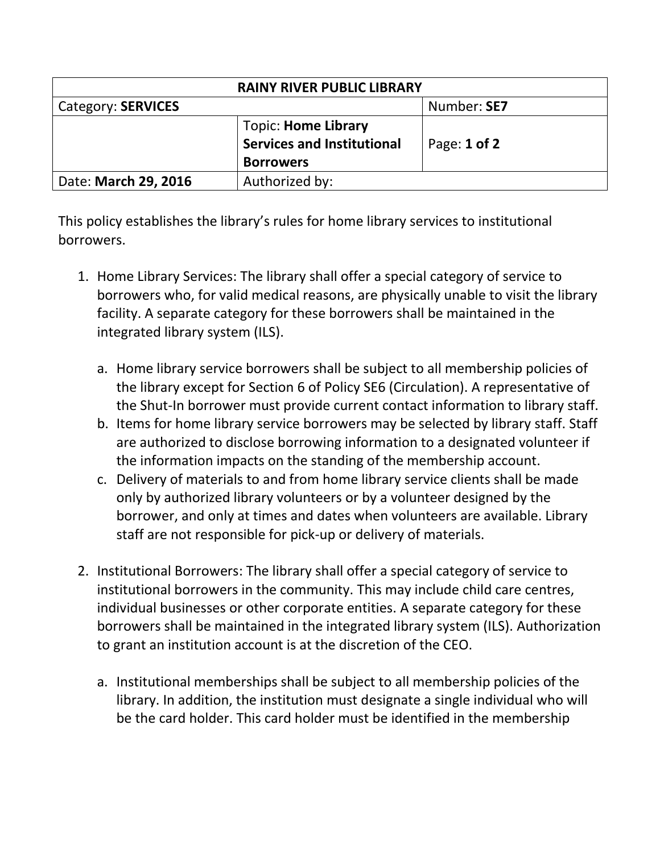| <b>RAINY RIVER PUBLIC LIBRARY</b> |                                                                                     |              |  |
|-----------------------------------|-------------------------------------------------------------------------------------|--------------|--|
| Category: SERVICES                |                                                                                     | Number: SE7  |  |
|                                   | <b>Topic: Home Library</b><br><b>Services and Institutional</b><br><b>Borrowers</b> | Page: 1 of 2 |  |
| Date: March 29, 2016              | Authorized by:                                                                      |              |  |

This policy establishes the library's rules for home library services to institutional borrowers.

- 1. Home Library Services: The library shall offer a special category of service to borrowers who, for valid medical reasons, are physically unable to visit the library facility. A separate category for these borrowers shall be maintained in the integrated library system (ILS).
	- a. Home library service borrowers shall be subject to all membership policies of the library except for Section 6 of Policy SE6 (Circulation). A representative of the Shut-In borrower must provide current contact information to library staff.
	- b. Items for home library service borrowers may be selected by library staff. Staff are authorized to disclose borrowing information to a designated volunteer if the information impacts on the standing of the membership account.
	- c. Delivery of materials to and from home library service clients shall be made only by authorized library volunteers or by a volunteer designed by the borrower, and only at times and dates when volunteers are available. Library staff are not responsible for pick-up or delivery of materials.
- 2. Institutional Borrowers: The library shall offer a special category of service to institutional borrowers in the community. This may include child care centres, individual businesses or other corporate entities. A separate category for these borrowers shall be maintained in the integrated library system (ILS). Authorization to grant an institution account is at the discretion of the CEO.
	- a. Institutional memberships shall be subject to all membership policies of the library. In addition, the institution must designate a single individual who will be the card holder. This card holder must be identified in the membership